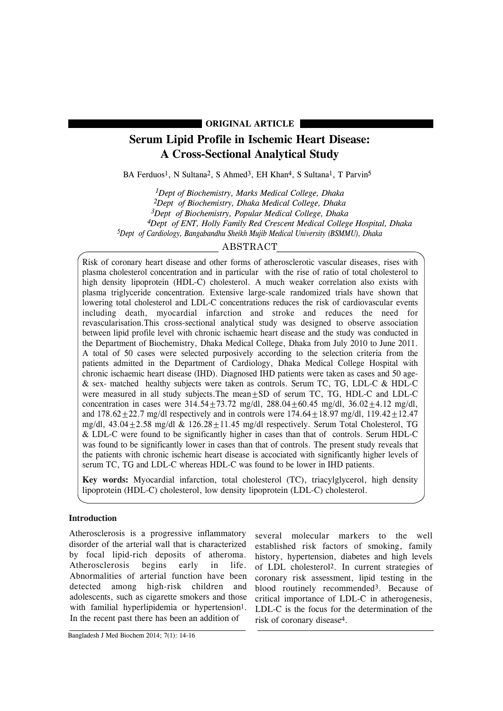### **ORIGINAL ARTICLE**

# **Serum Lipid Profile in Ischemic Heart Disease: A Cross-Sectional Analytical Study**

BA Ferduos<sup>1</sup>, N Sultana<sup>2</sup>, S Ahmed<sup>3</sup>, EH Khan<sup>4</sup>, S Sultana<sup>1</sup>, T Parvin<sup>5</sup>

*1Dept of Biochemistry, Marks Medical College, Dhaka 2Dept of Biochemistry, Dhaka Medical College, Dhaka 3Dept of Biochemistry, Popular Medical College, Dhaka 4Dept of ENT, Holly Family Red Crescent Medical College Hospital, Dhaka 5Dept of Cardiology, Bangabandhu Sheikh Mujib Medical University (BSMMU), Dhaka*

## ABSTRACT

Risk of coronary heart disease and other forms of atherosclerotic vascular diseases, rises with plasma cholesterol concentration and in particular with the rise of ratio of total cholesterol to high density lipoprotein (HDL-C) cholesterol. A much weaker correlation also exists with plasma triglyceride concentration. Extensive large-scale randomized trials have shown that lowering total cholesterol and LDL-C concentrations reduces the risk of cardiovascular events including death, myocardial infarction and stroke and reduces the need for revascularisation.This cross-sectional analytical study was designed to observe association between lipid profile level with chronic ischaemic heart disease and the study was conducted in the Department of Biochemistry, Dhaka Medical College, Dhaka from July 2010 to June 2011. A total of 50 cases were selected purposively according to the selection criteria from the patients admitted in the Department of Cardiology, Dhaka Medical College Hospital with chronic ischaemic heart disease (IHD). Diagnosed IHD patients were taken as cases and 50 age- & sex- matched healthy subjects were taken as controls. Serum TC, TG, LDL-C & HDL-C were measured in all study subjects. The mean $\pm$ SD of serum TC, TG, HDL-C and LDL-C concentration in cases were  $314.54 \pm 73.72$  mg/dl,  $288.04 \pm 60.45$  mg/dl,  $36.02 \pm 4.12$  mg/dl, and  $178.62+22.7$  mg/dl respectively and in controls were  $174.64+18.97$  mg/dl,  $119.42+12.47$ mg/dl,  $43.04+2.58$  mg/dl  $\&$  126.28 + 11.45 mg/dl respectively. Serum Total Cholesterol, TG & LDL-C were found to be significantly higher in cases than that of controls. Serum HDL-C was found to be significantly lower in cases than that of controls. The present study reveals that the patients with chronic ischemic heart disease is accociated with significantly higher levels of serum TC, TG and LDL-C whereas HDL-C was found to be lower in IHD patients.

**Key words:** Myocardial infarction, total cholesterol (TC), triacylglycerol, high density lipoprotein (HDL-C) cholesterol, low density lipoprotein (LDL-C) cholesterol.

### **Introduction**

Atherosclerosis is a progressive inflammatory disorder of the arterial wall that is characterized by focal lipid-rich deposits of atheroma. Atherosclerosis begins early in life. Abnormalities of arterial function have been detected among high-risk children and adolescents, such as cigarette smokers and those with familial hyperlipidemia or hypertension<sup>1</sup>. In the recent past there has been an addition of

several molecular markers to the well established risk factors of smoking, family history, hypertension, diabetes and high levels of LDL cholesterol2. In current strategies of coronary risk assessment, lipid testing in the blood routinely recommended3. Because of critical importance of LDL-C in atherogenesis, LDL-C is the focus for the determination of the risk of coronary disease4.

Bangladesh J Med Biochem 2014; 7(1): 14-16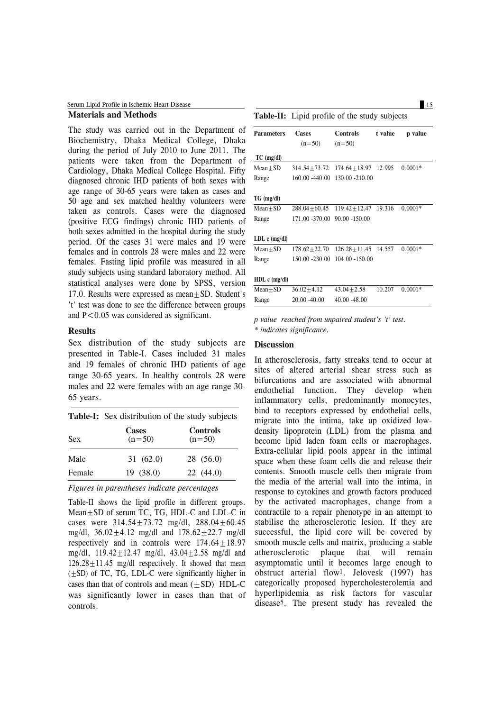| Serum Lipid Profile in Ischemic Heart Disease |                                                      |  |  |
|-----------------------------------------------|------------------------------------------------------|--|--|
| <b>Materials and Methods</b>                  | <b>Table-II:</b> Lipid profile of the study subjects |  |  |

The study was carried out in the Department of Biochemistry, Dhaka Medical College, Dhaka during the period of July 2010 to June 2011. The patients were taken from the Department of Cardiology, Dhaka Medical College Hospital. Fifty diagnosed chronic IHD patients of both sexes with age range of 30-65 years were taken as cases and 50 age and sex matched healthy volunteers were taken as controls. Cases were the diagnosed (positive ECG findings) chronic IHD patients of both sexes admitted in the hospital during the study period. Of the cases 31 were males and 19 were females and in controls 28 were males and 22 were females. Fasting lipid profile was measured in all study subjects using standard laboratory method. All statistical analyses were done by SPSS, version 17.0. Results were expressed as mean + SD. Student's 't' test was done to see the difference between groups and  $P < 0.05$  was considered as significant.

### **Results**

Sex distribution of the study subjects are presented in Table-I. Cases included 31 males and 19 females of chronic IHD patients of age range 30-65 years. In healthy controls 28 were males and 22 were females with an age range 30- 65 years.

|            | <b>Table-I:</b> Sex distribution of the study subjects |                             |  |  |  |
|------------|--------------------------------------------------------|-----------------------------|--|--|--|
| <b>Sex</b> | <b>Cases</b><br>$(n=50)$                               | <b>Controls</b><br>$(n=50)$ |  |  |  |
| Male       | 31(62.0)                                               | 28(56.0)                    |  |  |  |
| Female     | 19(38.0)                                               | 22(44.0)                    |  |  |  |

*Figures in parentheses indicate percentages*

Table-II shows the lipid profile in different groups. Mean±SD of serum TC, TG, HDL-C and LDL-C in cases were  $314.54 + 73.72$  mg/dl,  $288.04 + 60.45$ mg/dl,  $36.02 \pm 4.12$  mg/dl and  $178.62 \pm 22.7$  mg/dl respectively and in controls were  $174.64+18.97$ mg/dl,  $119.42 \pm 12.47$  mg/dl,  $43.04 \pm 2.58$  mg/dl and  $126.28 \pm 11.45$  mg/dl respectively. It showed that mean (±SD) of TC, TG, LDL-C were significantly higher in cases than that of controls and mean  $(\pm SD)$  HDL-C was significantly lower in cases than that of controls.

| <b>Table-II:</b> Lipid profile of the study subjects |                    |                         |         |           |
|------------------------------------------------------|--------------------|-------------------------|---------|-----------|
| <b>Parameters</b>                                    | Cases              | <b>Controls</b>         | t value | p value   |
|                                                      | $(n=50)$           | $(n=50)$                |         |           |
| $TC$ (mg/dl)                                         |                    |                         |         |           |
| $Mean + SD$                                          | $314.54 + 73.72$   | $174.64 + 18.97$        | 12.995  | $0.0001*$ |
| Range                                                | 160.00 -440.00     | 130.00 -210.00          |         |           |
|                                                      |                    |                         |         |           |
| $TG \ (mg/dl)$                                       |                    |                         |         |           |
| $Mean + SD$                                          | $288.04 \pm 60.45$ | $119.42 + 12.47$ 19.316 |         | $0.0001*$ |
| Range                                                | 171.00 -370.00     | $90.00 - 150.00$        |         |           |
|                                                      |                    |                         |         |           |
| LDL $c$ (mg/dl)                                      |                    |                         |         |           |
| $Mean + SD$                                          | $178.62 + 22.70$   | $126.28 + 11.45$        | 14.557  | $0.0001*$ |
| Range                                                | 150.00 -230.00     | 104.00 -150.00          |         |           |
|                                                      |                    |                         |         |           |
| HDL c (mg/dl)                                        |                    |                         |         |           |
| $Mean \pm SD$                                        | $36.02 + 4.12$     | $43.04 + 2.58$          | 10.207  | $0.0001*$ |
| Range                                                | $20.00 - 40.00$    | $40.00 - 48.00$         |         |           |
|                                                      |                    |                         |         |           |

*p value reached from unpaired student's 't' test. \* indicates significance.*

### **Discussion**

In atherosclerosis, fatty streaks tend to occur at sites of altered arterial shear stress such as bifurcations and are associated with abnormal endothelial function. They develop when inflammatory cells, predominantly monocytes, bind to receptors expressed by endothelial cells, migrate into the intima, take up oxidized lowdensity lipoprotein (LDL) from the plasma and become lipid laden foam cells or macrophages. Extra-cellular lipid pools appear in the intimal space when these foam cells die and release their contents. Smooth muscle cells then migrate from the media of the arterial wall into the intima, in response to cytokines and growth factors produced by the activated macrophages, change from a contractile to a repair phenotype in an attempt to stabilise the atherosclerotic lesion. If they are successful, the lipid core will be covered by smooth muscle cells and matrix, producing a stable atherosclerotic plaque that will remain asymptomatic until it becomes large enough to obstruct arterial flow1. Jelovesk (1997) has categorically proposed hypercholesterolemia and hyperlipidemia as risk factors for vascular disease5. The present study has revealed the